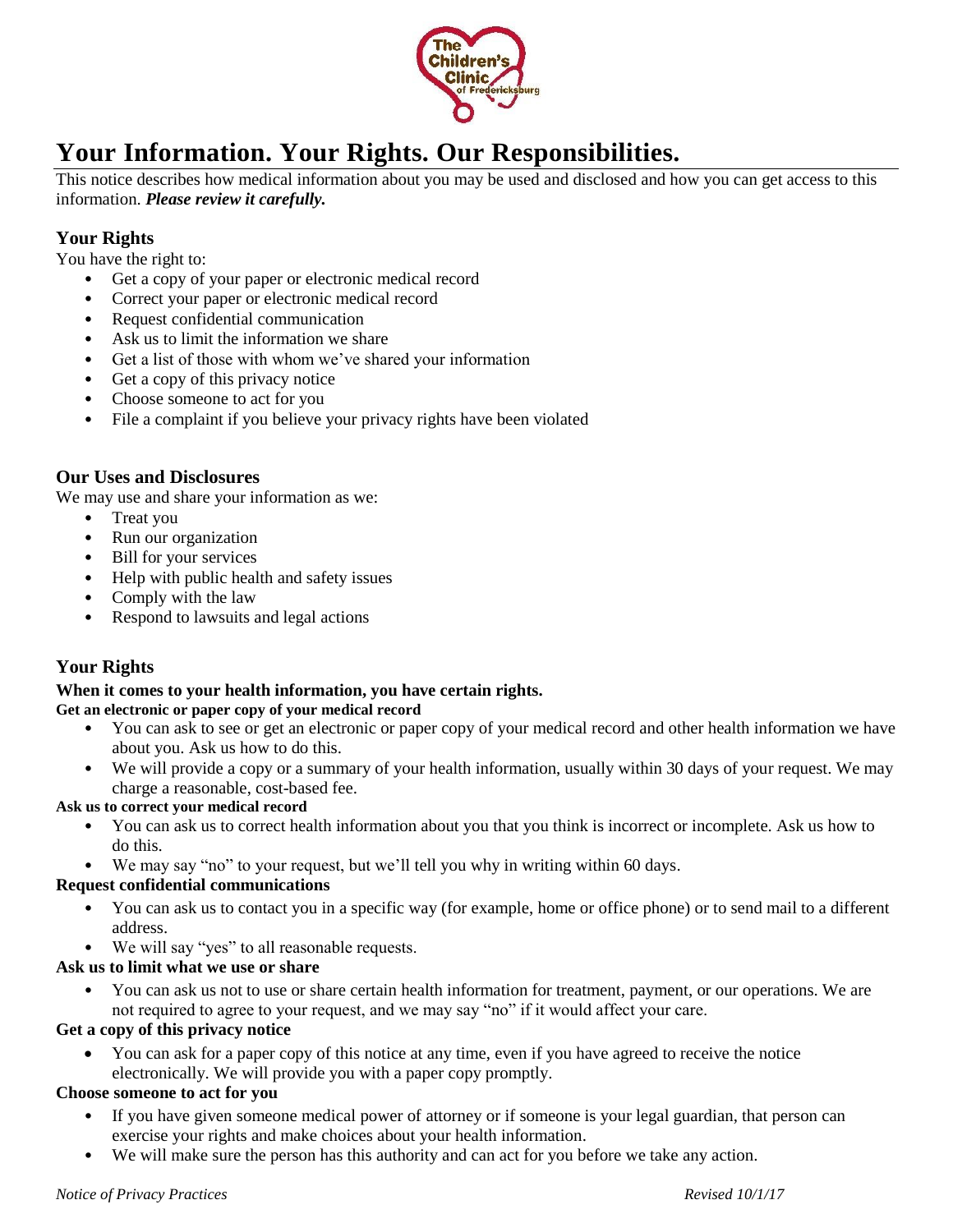

# **Your Information. Your Rights. Our Responsibilities.**

This notice describes how medical information about you may be used and disclosed and how you can get access to this information. *Please review it carefully.*

# **Your Rights**

You have the right to:

- Get a copy of your paper or electronic medical record
- Correct your paper or electronic medical record
- Request confidential communication
- Ask us to limit the information we share
- Get a list of those with whom we've shared your information
- Get a copy of this privacy notice
- Choose someone to act for you
- File a complaint if you believe your privacy rights have been violated

# **Our Uses and Disclosures**

We may use and share your information as we:

- Treat you
- Run our organization
- **Bill for your services**
- Help with public health and safety issues
- Comply with the law
- Respond to lawsuits and legal actions

# **Your Rights**

## **When it comes to your health information, you have certain rights.**

**Get an electronic or paper copy of your medical record** 

- You can ask to see or get an electronic or paper copy of your medical record and other health information we have about you. Ask us how to do this.
- We will provide a copy or a summary of your health information, usually within 30 days of your request. We may charge a reasonable, cost-based fee.

## **Ask us to correct your medical record**

- You can ask us to correct health information about you that you think is incorrect or incomplete. Ask us how to do this.
- We may say "no" to your request, but we'll tell you why in writing within 60 days.

# **Request confidential communications**

- You can ask us to contact you in a specific way (for example, home or office phone) or to send mail to a different address.
- We will say "yes" to all reasonable requests.

# **Ask us to limit what we use or share**

• You can ask us not to use or share certain health information for treatment, payment, or our operations. We are not required to agree to your request, and we may say "no" if it would affect your care.

# **Get a copy of this privacy notice**

• You can ask for a paper copy of this notice at any time, even if you have agreed to receive the notice electronically. We will provide you with a paper copy promptly.

## **Choose someone to act for you**

- If you have given someone medical power of attorney or if someone is your legal guardian, that person can exercise your rights and make choices about your health information.
- We will make sure the person has this authority and can act for you before we take any action.